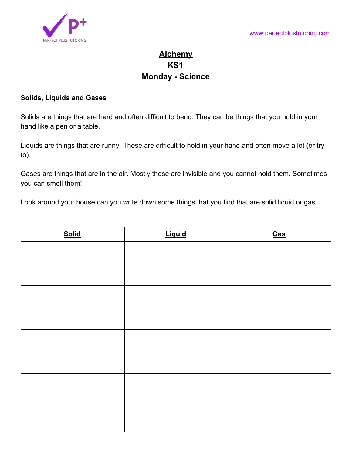

## **Alchemy KS1 Monday - Science**

## **Solids, Liquids and Gases**

Solids are things that are hard and often difficult to bend. They can be things that you hold in your hand like a pen or a table.

Liquids are things that are runny. These are difficult to hold in your hand and often move a lot (or try to).

Gases are things that are in the air. Mostly these are invisible and you cannot hold them. Sometimes you can smell them!

Look around your house can you write down some things that you find that are solid liquid or gas.

| <b>Solid</b> | <b>Liquid</b> | Gas |
|--------------|---------------|-----|
|              |               |     |
|              |               |     |
|              |               |     |
|              |               |     |
|              |               |     |
|              |               |     |
|              |               |     |
|              |               |     |
|              |               |     |
|              |               |     |
|              |               |     |
|              |               |     |
|              |               |     |